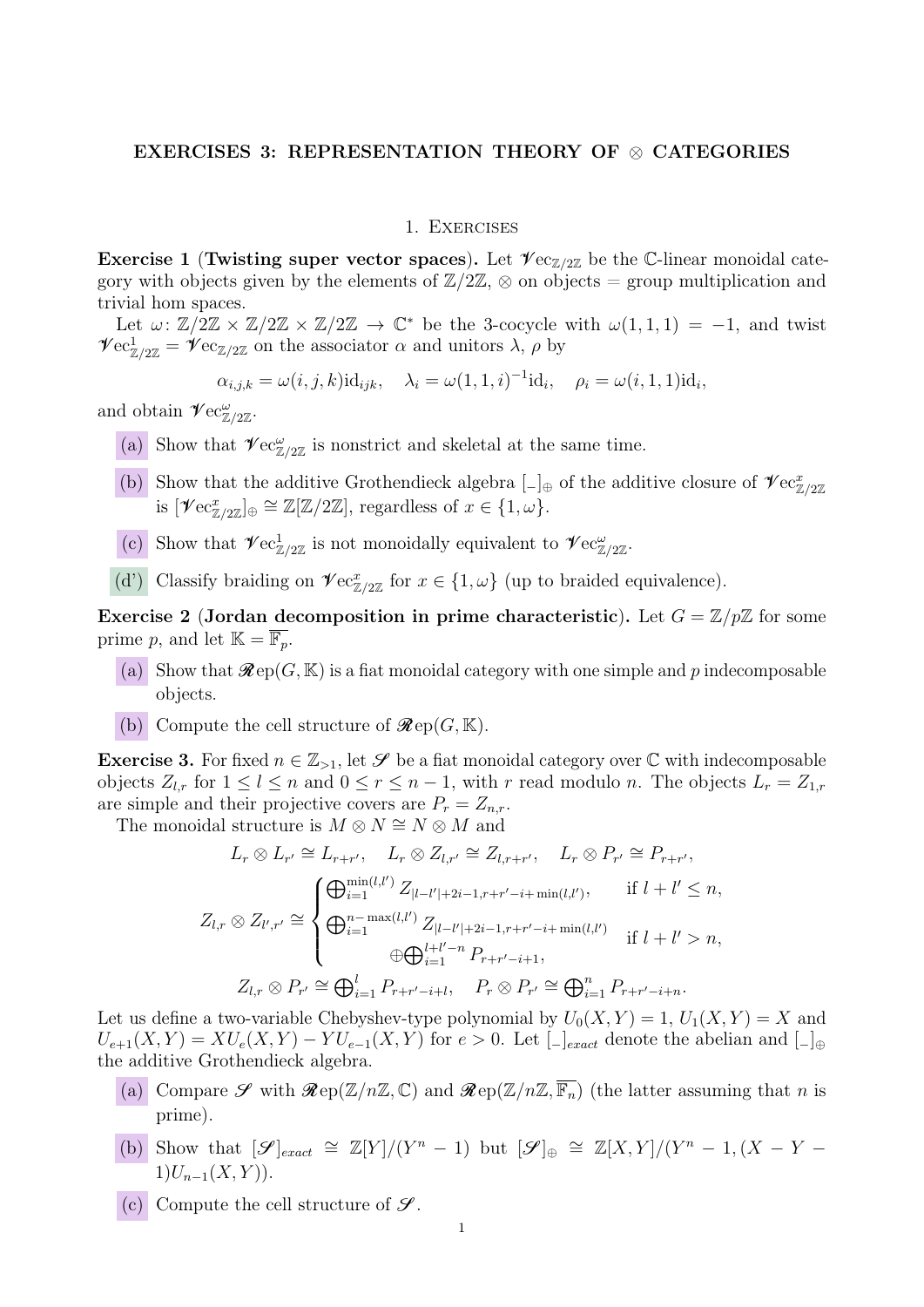### EXERCISES 3: REPRESENTATION THEORY OF ⊗ CATEGORIES

#### 1. Exercises

Exercise 1 (Twisting super vector spaces). Let  $\mathcal{V}$ ec<sub>Z/2Z</sub> be the C-linear monoidal category with objects given by the elements of  $\mathbb{Z}/2\mathbb{Z}$ ,  $\otimes$  on objects = group multiplication and trivial hom spaces.

Let  $\omega: \mathbb{Z}/2\mathbb{Z} \times \mathbb{Z}/2\mathbb{Z} \times \mathbb{Z}/2\mathbb{Z} \to \mathbb{C}^*$  be the 3-cocycle with  $\omega(1,1,1) = -1$ , and twist  $\mathscr{V}\text{ec}_{\mathbb{Z}/2\mathbb{Z}}^1 = \mathscr{V}\text{ec}_{\mathbb{Z}/2\mathbb{Z}}$  on the associator  $\alpha$  and unitors  $\lambda$ ,  $\rho$  by

$$
\alpha_{i,j,k} = \omega(i,j,k) \mathrm{id}_{ijk}, \quad \lambda_i = \omega(1,1,i)^{-1} \mathrm{id}_i, \quad \rho_i = \omega(i,1,1) \mathrm{id}_i,
$$

and obtain  $\mathscr{V}\text{ec}_{\mathbb{Z}/2\mathbb{Z}}^{\omega}$ .

- (a) Show that  $\mathscr{V}\text{ec}_{\mathbb{Z}/2\mathbb{Z}}^{\omega}$  is nonstrict and skeletal at the same time.
- (b) Show that the additive Grothendieck algebra  $\Box_{\oplus}$  of the additive closure of  $\mathscr{V}\text{ec}^x_{\mathbb{Z}/2\mathbb{Z}}$ is  $[\mathscr{V}\mathrm{ec}^x_{\mathbb{Z}/2\mathbb{Z}}]_{\oplus} \cong \mathbb{Z}[\mathbb{Z}/2\mathbb{Z}],$  regardless of  $x \in \{1, \omega\}.$
- (c) Show that  $\mathscr{V}\text{ec}_{\mathbb{Z}/2\mathbb{Z}}^1$  is not monoidally equivalent to  $\mathscr{V}\text{ec}_{\mathbb{Z}/2\mathbb{Z}}^{\omega}$ .
- (d') Classify braiding on  $\mathscr{V}$ ec $_{\mathbb{Z}/2\mathbb{Z}}^x$  for  $x \in \{1, \omega\}$  (up to braided equivalence).

Exercise 2 (Jordan decomposition in prime characteristic). Let  $G = \mathbb{Z}/p\mathbb{Z}$  for some prime p, and let  $\mathbb{K} = \overline{\mathbb{F}_p}$ .

- (a) Show that  $\mathcal{R}ep(G, \mathbb{K})$  is a fiat monoidal category with one simple and p indecomposable objects.
- (b) Compute the cell structure of  $\mathcal{R}ep(G, \mathbb{K})$ .

**Exercise 3.** For fixed  $n \in \mathbb{Z}_{\geq 1}$ , let  $\mathcal S$  be a fiat monoidal category over  $\mathbb C$  with indecomposable objects  $Z_{l,r}$  for  $1 \leq l \leq n$  and  $0 \leq r \leq n-1$ , with r read modulo n. The objects  $L_r = Z_{1,r}$ are simple and their projective covers are  $P_r = Z_{n,r}$ .

The monoidal structure is  $M \otimes N \cong N \otimes M$  and

$$
L_r \otimes L_{r'} \cong L_{r+r'}, \quad L_r \otimes Z_{l,r'} \cong Z_{l,r+r'}, \quad L_r \otimes P_{r'} \cong P_{r+r'},
$$
  

$$
Z_{l,r} \otimes Z_{l',r'} \cong \begin{cases} \bigoplus_{i=1}^{\min(l,l')} Z_{|l-l'|+2i-1,r+r'-i+\min(l,l')}, & \text{if } l+l' \leq n, \\ \bigoplus_{i=1}^{n-\max(l,l')} Z_{|l-l'|+2i-1,r+r'-i+\min(l,l')} & \text{if } l+l' > n, \\ \bigoplus_{i=1}^{l+l'-n} P_{r+r'-i+1}, & P_r \otimes P_{r'} \cong \bigoplus_{i=1}^n P_{r+r'-i+n}. \end{cases}
$$

Let us define a two-variable Chebyshev-type polynomial by  $U_0(X, Y) = 1, U_1(X, Y) = X$  and  $U_{e+1}(X,Y) = XU_e(X,Y) - YU_{e-1}(X,Y)$  for  $e > 0$ . Let  $\lbrack - \rbrack_{exact}$  denote the abelian and  $\lbrack - \rbrack_{\oplus}$ the additive Grothendieck algebra.

- (a) Compare  $\mathscr S$  with  $\mathscr R$ ep( $\mathbb Z/n\mathbb Z,\mathbb C$ ) and  $\mathscr R$ ep( $\mathbb Z/n\mathbb Z,\overline{\mathbb F_n}$ ) (the latter assuming that n is prime).
- (b) Show that  $[\mathscr{S}]_{exact} \cong \mathbb{Z}[Y]/(Y^n-1)$  but  $[\mathscr{S}]_{\oplus} \cong \mathbb{Z}[X,Y]/(Y^n-1,(X-Y-1))$  $1)U_{n-1}(X, Y)$ .
- (c) Compute the cell structure of  $\mathcal{S}$ .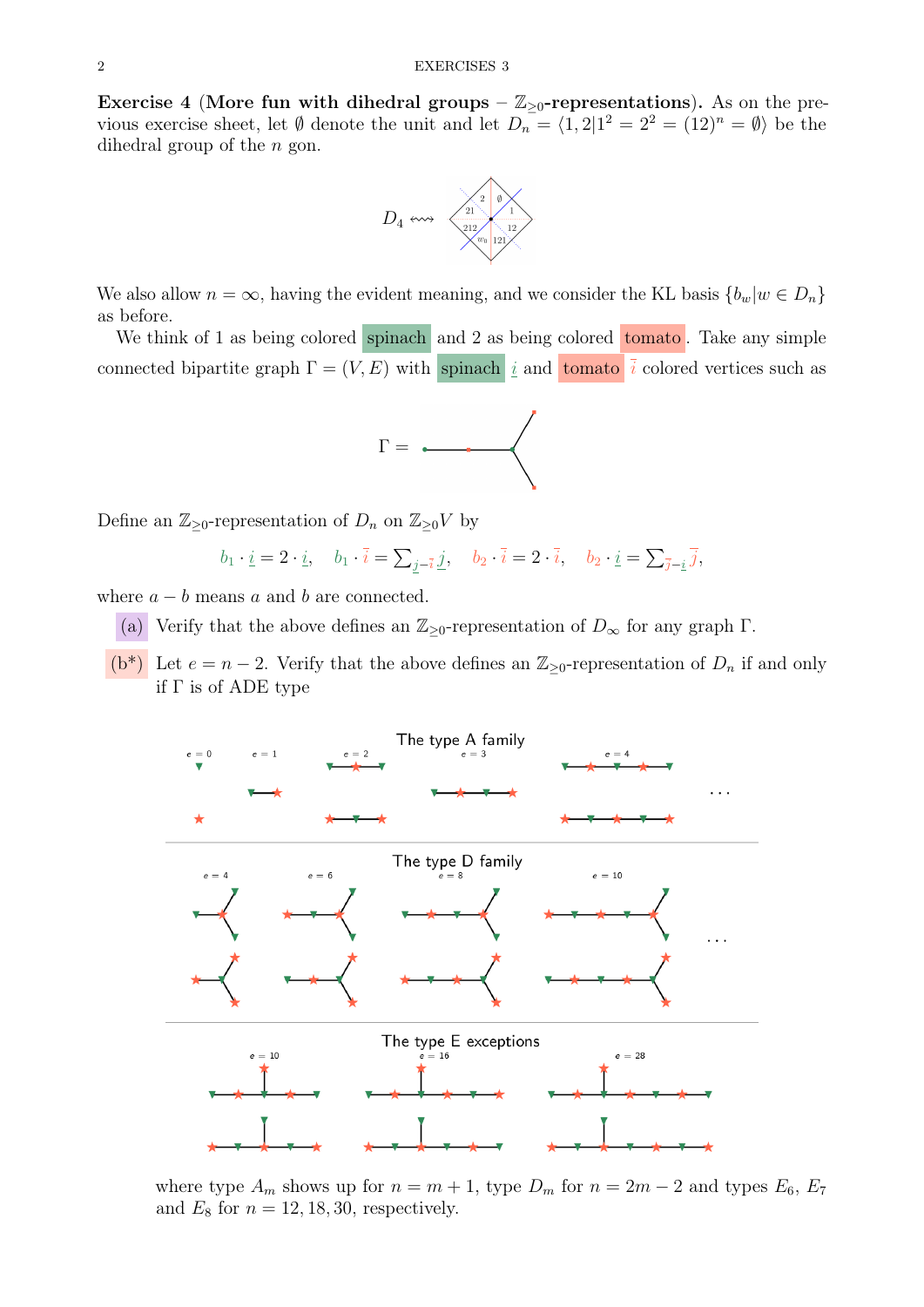Exercise 4 (More fun with dihedral groups –  $\mathbb{Z}_{\geq 0}$ -representations). As on the previous exercise sheet, let  $\emptyset$  denote the unit and let  $D_n = \langle 1, 2 | 1^2 = 2^2 = (12)^n = \emptyset \rangle$  be the dihedral group of the  $n$  gon.



We also allow  $n = \infty$ , having the evident meaning, and we consider the KL basis  ${b_w|w \in D_n}$ as before.

We think of 1 as being colored spinach and 2 as being colored tomato. Take any simple connected bipartite graph  $\Gamma = (V, E)$  with spinach i and tomato i colored vertices such as



Define an  $\mathbb{Z}_{\geq 0}$ -representation of  $D_n$  on  $\mathbb{Z}_{\geq 0}V$  by

$$
b_1 \cdot \underline{i} = 2 \cdot \underline{i}, \quad b_1 \cdot \overline{i} = \sum_{j=\overline{i}} \underline{j}, \quad b_2 \cdot \overline{i} = 2 \cdot \overline{i}, \quad b_2 \cdot \underline{i} = \sum_{\overline{j}=\underline{i}} \overline{j},
$$

where  $a - b$  means a and b are connected.

- (a) Verify that the above defines an  $\mathbb{Z}_{\geq 0}$ -representation of  $D_{\infty}$  for any graph  $\Gamma$ .
- (b<sup>\*</sup>) Let  $e = n 2$ . Verify that the above defines an  $\mathbb{Z}_{\geq 0}$ -representation of  $D_n$  if and only if Γ is of ADE type



where type  $A_m$  shows up for  $n = m + 1$ , type  $D_m$  for  $n = 2m - 2$  and types  $E_6$ ,  $E_7$ and  $E_8$  for  $n = 12, 18, 30$ , respectively.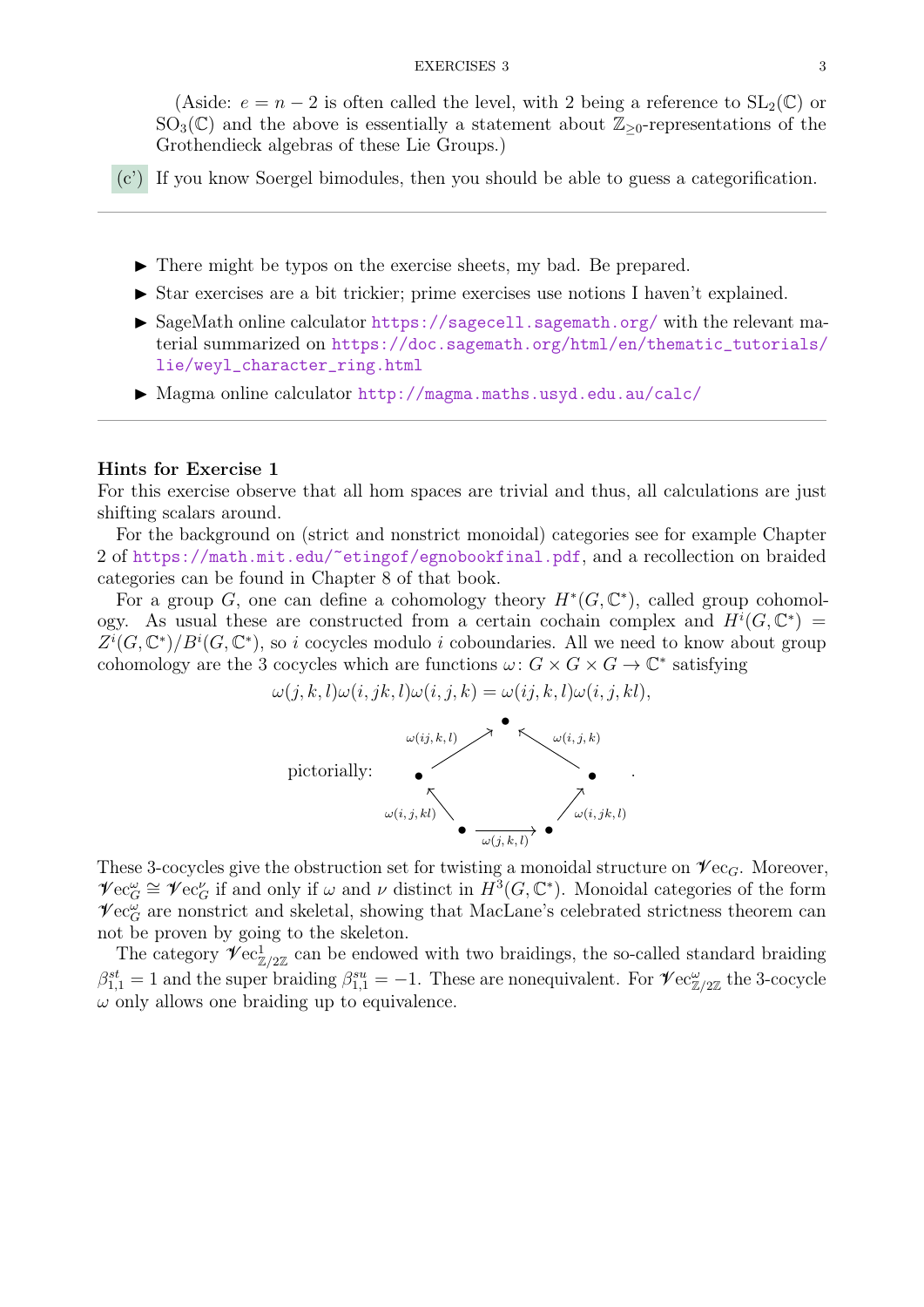(Aside:  $e = n - 2$  is often called the level, with 2 being a reference to  $SL_2(\mathbb{C})$  or  $SO_3(\mathbb{C})$  and the above is essentially a statement about  $\mathbb{Z}_{\geq 0}$ -representations of the Grothendieck algebras of these Lie Groups.)

- (c') If you know Soergel bimodules, then you should be able to guess a categorification.
	- $\triangleright$  There might be typos on the exercise sheets, my bad. Be prepared.
	- $\triangleright$  Star exercises are a bit trickier; prime exercises use notions I haven't explained.
	- I SageMath online calculator <https://sagecell.sagemath.org/> with the relevant material summarized on [https://doc.sagemath.org/html/en/thematic\\_tutorials/](https://doc.sagemath.org/html/en/thematic_tutorials/lie/weyl_character_ring.html) [lie/weyl\\_character\\_ring.html](https://doc.sagemath.org/html/en/thematic_tutorials/lie/weyl_character_ring.html)
	- ▶ Magma online calculator <http://magma.maths.usyd.edu.au/calc/>

#### Hints for Exercise 1

For this exercise observe that all hom spaces are trivial and thus, all calculations are just shifting scalars around.

For the background on (strict and nonstrict monoidal) categories see for example Chapter 2 of <https://math.mit.edu/~etingof/egnobookfinal.pdf>, and a recollection on braided categories can be found in Chapter 8 of that book.

For a group G, one can define a cohomology theory  $H^*(G, \mathbb{C}^*)$ , called group cohomology. As usual these are constructed from a certain cochain complex and  $H^{i}(G,\mathbb{C}^{*})$  $\overline{Z^{i}}(G,\mathbb{C}^{*})/B^{i}(G,\mathbb{C}^{*})$ , so i cocycles modulo i coboundaries. All we need to know about group cohomology are the 3 cocycles which are functions  $\omega: G \times G \times G \to \mathbb{C}^*$  satisfying

$$
\omega(j,k,l)\omega(i,jk,l)\omega(i,j,k) = \omega(ij,k,l)\omega(i,j,kl),
$$



These 3-cocycles give the obstruction set for twisting a monoidal structure on  $\mathscr{V}\text{ec}_G$ . Moreover,  $\mathscr{V}\operatorname{ec}_{G}^{\omega} \cong \mathscr{V}\operatorname{ec}_{G}^{\nu}$  if and only if  $\omega$  and  $\nu$  distinct in  $H^{3}(G,\mathbb{C}^{*})$ . Monoidal categories of the form  $\mathscr{V}\mathrm{ec}^{\omega}_G$  are nonstrict and skeletal, showing that MacLane's celebrated strictness theorem can not be proven by going to the skeleton.

The category  $\mathscr{V}\text{ec}_{\mathbb{Z}/2\mathbb{Z}}^1$  can be endowed with two braidings, the so-called standard braiding  $\beta_{1,1}^{st} = 1$  and the super braiding  $\beta_{1,1}^{su} = -1$ . These are nonequivalent. For  $\mathscr{V}\text{ec}_{\mathbb{Z}/2\mathbb{Z}}^{\omega}$  the 3-cocycle  $\omega$  only allows one braiding up to equivalence.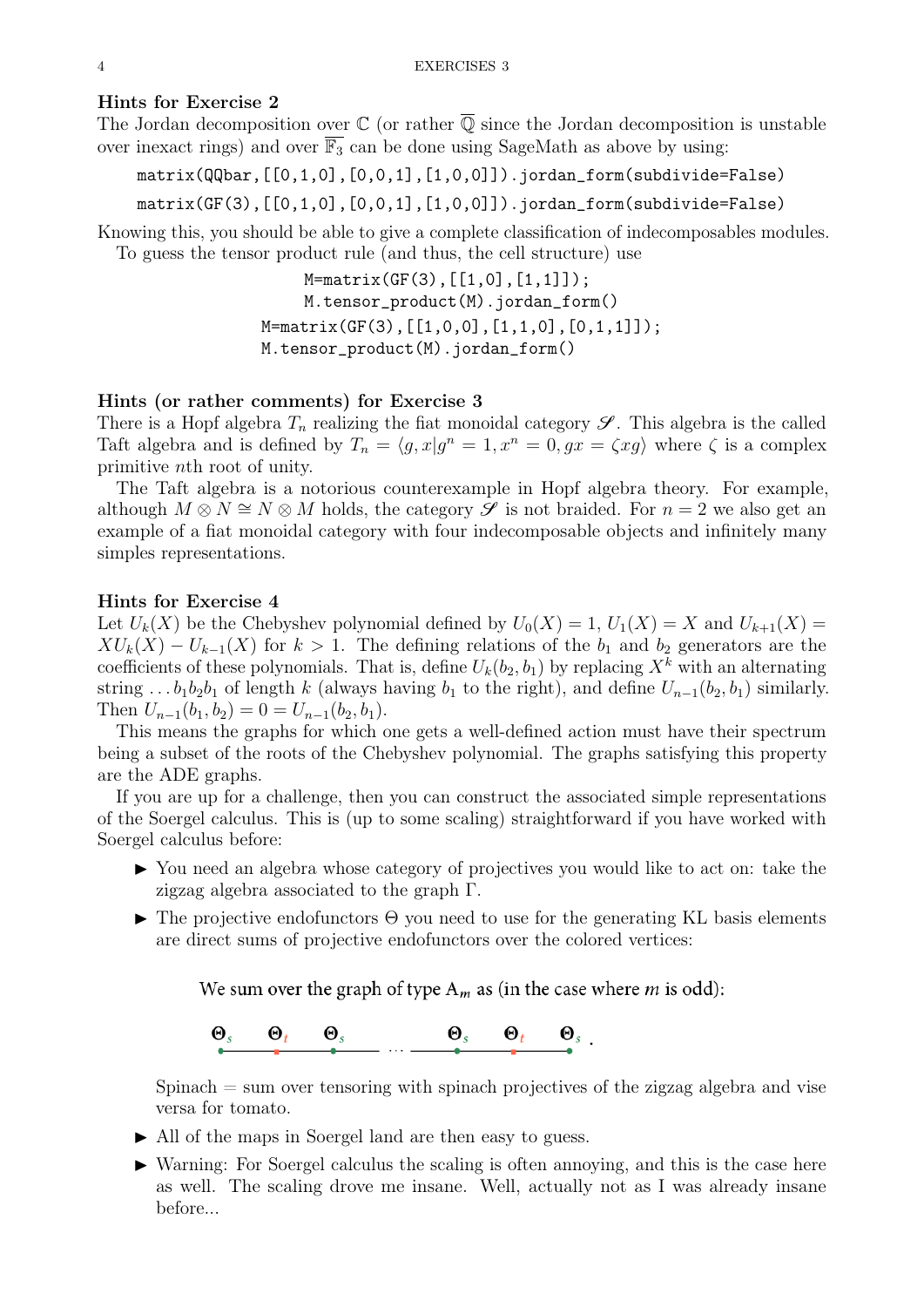# Hints for Exercise 2

The Jordan decomposition over  $\mathbb C$  (or rather  $\overline{\mathbb Q}$  since the Jordan decomposition is unstable over inexact rings) and over  $\overline{\mathbb{F}_3}$  can be done using SageMath as above by using:

matrix(QQbar,[[0,1,0],[0,0,1],[1,0,0]]).jordan\_form(subdivide=False)

matrix(GF(3),[[0,1,0],[0,0,1],[1,0,0]]).jordan\_form(subdivide=False)

Knowing this, you should be able to give a complete classification of indecomposables modules. To guess the tensor product rule (and thus, the cell structure) use

> M=matrix(GF(3),[[1,0],[1,1]]); M.tensor\_product(M).jordan\_form() M=matrix(GF(3),[[1,0,0],[1,1,0],[0,1,1]]); M.tensor\_product(M).jordan\_form()

### Hints (or rather comments) for Exercise 3

There is a Hopf algebra  $T_n$  realizing the fiat monoidal category  $\mathscr{S}$ . This algebra is the called Taft algebra and is defined by  $T_n = \langle g, x | g^n = 1, x^n = 0, gx = \zeta x g \rangle$  where  $\zeta$  is a complex primitive nth root of unity.

The Taft algebra is a notorious counterexample in Hopf algebra theory. For example, although  $M \otimes N \cong N \otimes M$  holds, the category  $\mathscr S$  is not braided. For  $n = 2$  we also get an example of a fiat monoidal category with four indecomposable objects and infinitely many simples representations.

# Hints for Exercise 4

Let  $U_k(X)$  be the Chebyshev polynomial defined by  $U_0(X) = 1$ ,  $U_1(X) = X$  and  $U_{k+1}(X) =$  $XU_k(X) - U_{k-1}(X)$  for  $k > 1$ . The defining relations of the  $b_1$  and  $b_2$  generators are the coefficients of these polynomials. That is, define  $U_k(b_2, b_1)$  by replacing  $X^k$  with an alternating string ...  $b_1b_2b_1$  of length k (always having  $b_1$  to the right), and define  $U_{n-1}(b_2, b_1)$  similarly. Then  $U_{n-1}(b_1, b_2) = 0 = U_{n-1}(b_2, b_1)$ .

This means the graphs for which one gets a well-defined action must have their spectrum being a subset of the roots of the Chebyshev polynomial. The graphs satisfying this property are the ADE graphs.

If you are up for a challenge, then you can construct the associated simple representations of the Soergel calculus. This is (up to some scaling) straightforward if you have worked with Soergel calculus before:

- I You need an algebra whose category of projectives you would like to act on: take the zigzag algebra associated to the graph Γ.
- $\blacktriangleright$  The projective endofunctors  $\Theta$  you need to use for the generating KL basis elements are direct sums of projective endofunctors over the colored vertices:

We sum over the graph of type  $A_m$  as (in the case where *m* is odd):

 $\underbrace{\Theta_s \qquad \Theta_t \qquad \Theta_s \qquad \qquad \Theta_s \qquad \Theta_t \qquad \Theta_s \qquad .}$ 

 $Spinach = sum over tensoring with spinach projectives of the zigzag algebra and viscous$ versa for tomato.

- In All of the maps in Soergel land are then easy to guess.
- $\triangleright$  Warning: For Soergel calculus the scaling is often annoying, and this is the case here as well. The scaling drove me insane. Well, actually not as I was already insane before...